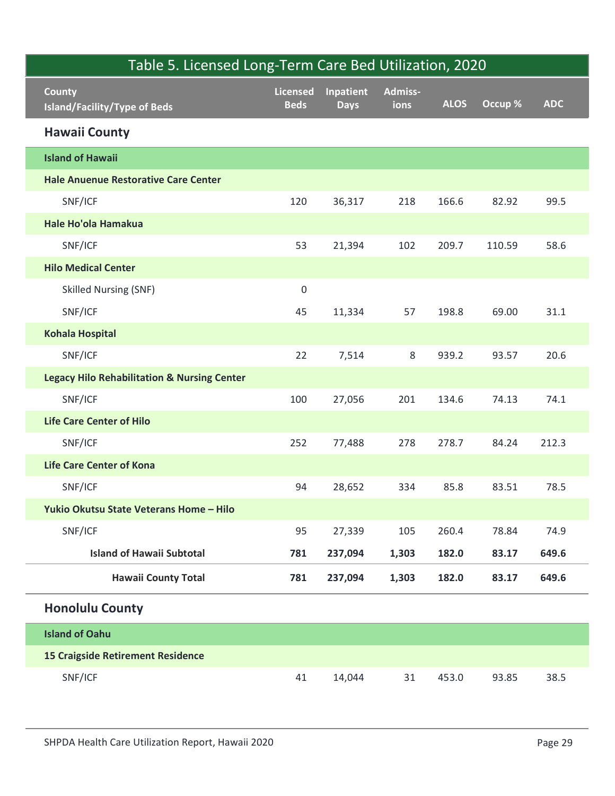| Table 5. Licensed Long-Term Care Bed Utilization, 2020 |                                |                          |                 |             |         |            |
|--------------------------------------------------------|--------------------------------|--------------------------|-----------------|-------------|---------|------------|
| <b>County</b><br><b>Island/Facility/Type of Beds</b>   | <b>Licensed</b><br><b>Beds</b> | Inpatient<br><b>Days</b> | Admiss-<br>ions | <b>ALOS</b> | Occup % | <b>ADC</b> |
| <b>Hawaii County</b>                                   |                                |                          |                 |             |         |            |
| <b>Island of Hawaii</b>                                |                                |                          |                 |             |         |            |
| <b>Hale Anuenue Restorative Care Center</b>            |                                |                          |                 |             |         |            |
| SNF/ICF                                                | 120                            | 36,317                   | 218             | 166.6       | 82.92   | 99.5       |
| Hale Ho'ola Hamakua                                    |                                |                          |                 |             |         |            |
| SNF/ICF                                                | 53                             | 21,394                   | 102             | 209.7       | 110.59  | 58.6       |
| <b>Hilo Medical Center</b>                             |                                |                          |                 |             |         |            |
| <b>Skilled Nursing (SNF)</b>                           | $\mathbf 0$                    |                          |                 |             |         |            |
| SNF/ICF                                                | 45                             | 11,334                   | 57              | 198.8       | 69.00   | 31.1       |
| <b>Kohala Hospital</b>                                 |                                |                          |                 |             |         |            |
| SNF/ICF                                                | 22                             | 7,514                    | 8               | 939.2       | 93.57   | 20.6       |
| <b>Legacy Hilo Rehabilitation &amp; Nursing Center</b> |                                |                          |                 |             |         |            |
| SNF/ICF                                                | 100                            | 27,056                   | 201             | 134.6       | 74.13   | 74.1       |
| <b>Life Care Center of Hilo</b>                        |                                |                          |                 |             |         |            |
| SNF/ICF                                                | 252                            | 77,488                   | 278             | 278.7       | 84.24   | 212.3      |
| <b>Life Care Center of Kona</b>                        |                                |                          |                 |             |         |            |
| SNF/ICF                                                | 94                             | 28,652                   | 334             | 85.8        | 83.51   | 78.5       |
| Yukio Okutsu State Veterans Home - Hilo                |                                |                          |                 |             |         |            |
| SNF/ICF                                                | 95                             | 27,339                   | 105             | 260.4       | 78.84   | 74.9       |
| <b>Island of Hawaii Subtotal</b>                       | 781                            | 237,094                  | 1,303           | 182.0       | 83.17   | 649.6      |
| <b>Hawaii County Total</b>                             | 781                            | 237,094                  | 1,303           | 182.0       | 83.17   | 649.6      |
| <b>Honolulu County</b>                                 |                                |                          |                 |             |         |            |
| <b>Island of Oahu</b>                                  |                                |                          |                 |             |         |            |
| <b>15 Craigside Retirement Residence</b>               |                                |                          |                 |             |         |            |
| SNF/ICF                                                | 41                             | 14,044                   | 31              | 453.0       | 93.85   | 38.5       |
| SHPDA Health Care Utilization Report, Hawaii 2020      |                                |                          |                 |             |         | Page 29    |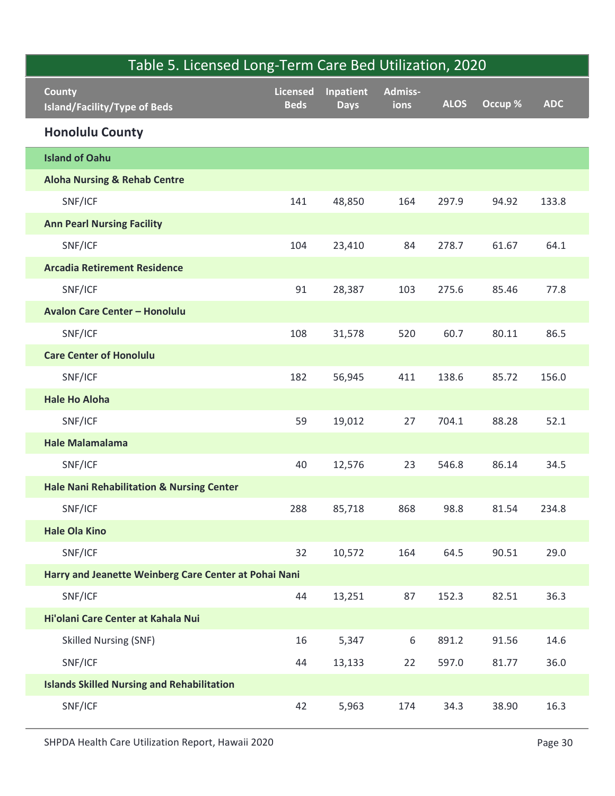| County                                                | Licensed<br><b>Beds</b> | Inpatient   | Admiss-<br>ions | <b>ALOS</b> | Occup % | <b>ADC</b> |
|-------------------------------------------------------|-------------------------|-------------|-----------------|-------------|---------|------------|
| <b>Island/Facility/Type of Beds</b>                   |                         | <b>Days</b> |                 |             |         |            |
| <b>Honolulu County</b>                                |                         |             |                 |             |         |            |
| <b>Island of Oahu</b>                                 |                         |             |                 |             |         |            |
| <b>Aloha Nursing &amp; Rehab Centre</b>               |                         |             |                 |             |         |            |
| SNF/ICF                                               | 141                     | 48,850      | 164             | 297.9       | 94.92   | 133.8      |
| <b>Ann Pearl Nursing Facility</b>                     |                         |             |                 |             |         |            |
| SNF/ICF                                               | 104                     | 23,410      | 84              | 278.7       | 61.67   | 64.1       |
| <b>Arcadia Retirement Residence</b>                   |                         |             |                 |             |         |            |
| SNF/ICF                                               | 91                      | 28,387      | 103             | 275.6       | 85.46   | 77.8       |
| <b>Avalon Care Center - Honolulu</b>                  |                         |             |                 |             |         |            |
| SNF/ICF                                               | 108                     | 31,578      | 520             | 60.7        | 80.11   | 86.5       |
| <b>Care Center of Honolulu</b>                        |                         |             |                 |             |         |            |
| SNF/ICF                                               | 182                     | 56,945      | 411             | 138.6       | 85.72   | 156.0      |
| <b>Hale Ho Aloha</b>                                  |                         |             |                 |             |         |            |
| SNF/ICF                                               | 59                      | 19,012      | 27              | 704.1       | 88.28   | 52.1       |
| <b>Hale Malamalama</b>                                |                         |             |                 |             |         |            |
| SNF/ICF                                               | 40                      | 12,576      | 23              | 546.8       | 86.14   | 34.5       |
| <b>Hale Nani Rehabilitation &amp; Nursing Center</b>  |                         |             |                 |             |         |            |
| SNF/ICF                                               | 288                     | 85,718      | 868             | 98.8        | 81.54   | 234.8      |
| <b>Hale Ola Kino</b>                                  |                         |             |                 |             |         |            |
| SNF/ICF                                               | 32                      | 10,572      | 164             | 64.5        | 90.51   | 29.0       |
| Harry and Jeanette Weinberg Care Center at Pohai Nani |                         |             |                 |             |         |            |
| SNF/ICF                                               | 44                      | 13,251      | 87              | 152.3       | 82.51   | 36.3       |
| Hi'olani Care Center at Kahala Nui                    |                         |             |                 |             |         |            |
| <b>Skilled Nursing (SNF)</b>                          | 16                      | 5,347       | 6               | 891.2       | 91.56   | 14.6       |
| SNF/ICF                                               | 44                      | 13,133      | 22              | 597.0       | 81.77   | 36.0       |
| <b>Islands Skilled Nursing and Rehabilitation</b>     |                         |             |                 |             |         |            |
| SNF/ICF                                               | 42                      | 5,963       | 174             | 34.3        | 38.90   | 16.3       |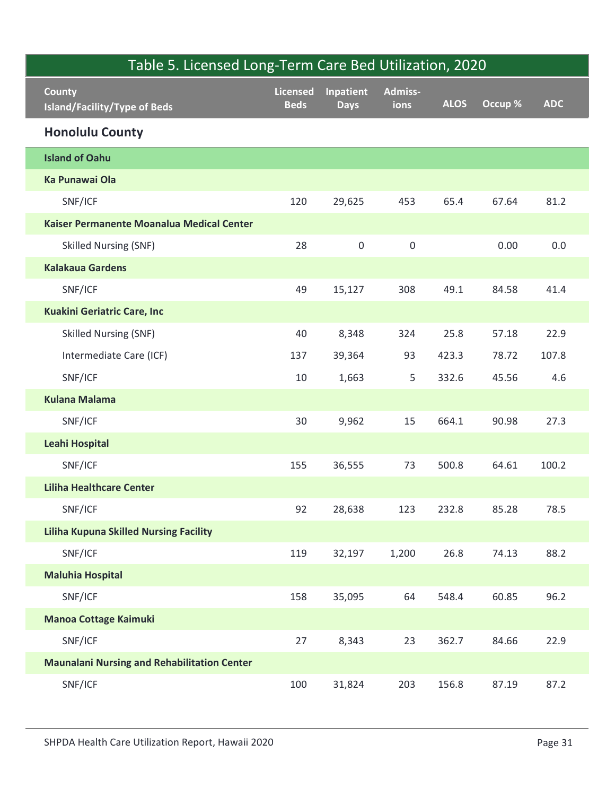| Table 5. Licensed Long-Term Care Bed Utilization, 2020 |                                |                          |                  |             |         |            |
|--------------------------------------------------------|--------------------------------|--------------------------|------------------|-------------|---------|------------|
| County<br><b>Island/Facility/Type of Beds</b>          | <b>Licensed</b><br><b>Beds</b> | Inpatient<br><b>Days</b> | Admiss-<br>ions  | <b>ALOS</b> | Occup % | <b>ADC</b> |
| <b>Honolulu County</b>                                 |                                |                          |                  |             |         |            |
| <b>Island of Oahu</b>                                  |                                |                          |                  |             |         |            |
| Ka Punawai Ola                                         |                                |                          |                  |             |         |            |
| SNF/ICF                                                | 120                            | 29,625                   | 453              | 65.4        | 67.64   | 81.2       |
| Kaiser Permanente Moanalua Medical Center              |                                |                          |                  |             |         |            |
| <b>Skilled Nursing (SNF)</b>                           | 28                             | $\mathsf{O}\xspace$      | $\boldsymbol{0}$ |             | 0.00    | $0.0\,$    |
| <b>Kalakaua Gardens</b>                                |                                |                          |                  |             |         |            |
| SNF/ICF                                                | 49                             | 15,127                   | 308              | 49.1        | 84.58   | 41.4       |
| <b>Kuakini Geriatric Care, Inc</b>                     |                                |                          |                  |             |         |            |
| <b>Skilled Nursing (SNF)</b>                           | 40                             | 8,348                    | 324              | 25.8        | 57.18   | 22.9       |
| Intermediate Care (ICF)                                | 137                            | 39,364                   | 93               | 423.3       | 78.72   | 107.8      |
| SNF/ICF                                                | 10                             | 1,663                    | 5                | 332.6       | 45.56   | 4.6        |
| <b>Kulana Malama</b>                                   |                                |                          |                  |             |         |            |
| SNF/ICF                                                | 30                             | 9,962                    | 15               | 664.1       | 90.98   | 27.3       |
| Leahi Hospital                                         |                                |                          |                  |             |         |            |
| SNF/ICF                                                | 155                            | 36,555                   | 73               | 500.8       | 64.61   | 100.2      |
| <b>Liliha Healthcare Center</b>                        |                                |                          |                  |             |         |            |
| SNF/ICF                                                | 92                             | 28,638                   | 123              | 232.8       | 85.28   | 78.5       |
| <b>Liliha Kupuna Skilled Nursing Facility</b>          |                                |                          |                  |             |         |            |
| SNF/ICF                                                | 119                            | 32,197                   | 1,200            | 26.8        | 74.13   | 88.2       |
| <b>Maluhia Hospital</b>                                |                                |                          |                  |             |         |            |
| SNF/ICF                                                | 158                            | 35,095                   | 64               | 548.4       | 60.85   | 96.2       |
| Manoa Cottage Kaimuki                                  |                                |                          |                  |             |         |            |
| SNF/ICF                                                | 27                             | 8,343                    | 23               | 362.7       | 84.66   | 22.9       |
| <b>Maunalani Nursing and Rehabilitation Center</b>     |                                |                          |                  |             |         |            |
| SNF/ICF                                                | 100                            | 31,824                   | 203              | 156.8       | 87.19   | 87.2       |
| SHPDA Health Care Utilization Report, Hawaii 2020      |                                |                          |                  |             |         | Page 31    |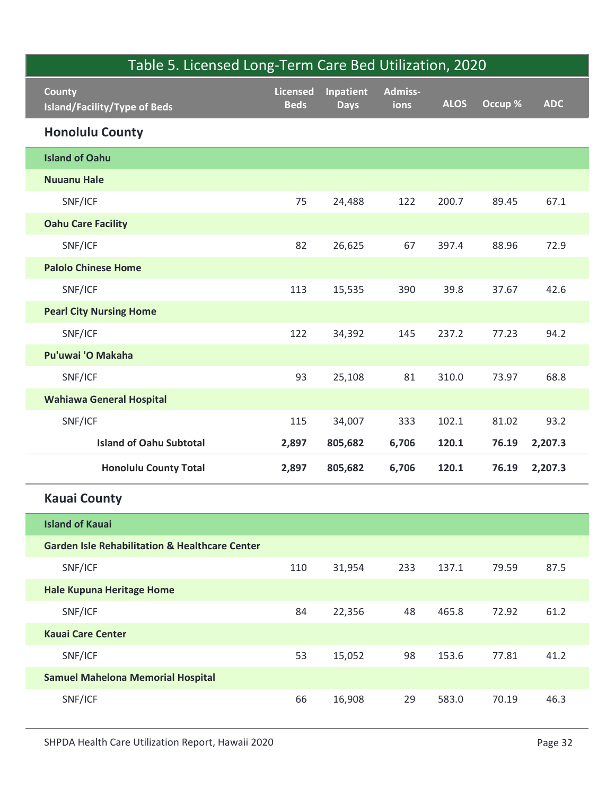| Table 5. Licensed Long-Term Care Bed Utilization, 2020    |                         |             |                 |             |         |            |
|-----------------------------------------------------------|-------------------------|-------------|-----------------|-------------|---------|------------|
| <b>County</b>                                             | Licensed<br><b>Beds</b> | Inpatient   | Admiss-<br>ions | <b>ALOS</b> | Occup % | <b>ADC</b> |
| <b>Island/Facility/Type of Beds</b>                       |                         | <b>Days</b> |                 |             |         |            |
| <b>Honolulu County</b>                                    |                         |             |                 |             |         |            |
| <b>Island of Oahu</b>                                     |                         |             |                 |             |         |            |
| <b>Nuuanu Hale</b>                                        |                         |             |                 |             |         |            |
| SNF/ICF                                                   | 75                      | 24,488      | 122             | 200.7       | 89.45   | 67.1       |
| <b>Oahu Care Facility</b>                                 |                         |             |                 |             |         |            |
| SNF/ICF                                                   | 82                      | 26,625      | 67              | 397.4       | 88.96   | 72.9       |
| <b>Palolo Chinese Home</b>                                |                         |             |                 |             |         |            |
| SNF/ICF                                                   | 113                     | 15,535      | 390             | 39.8        | 37.67   | 42.6       |
| <b>Pearl City Nursing Home</b>                            |                         |             |                 |             |         |            |
| SNF/ICF                                                   | 122                     | 34,392      | 145             | 237.2       | 77.23   | 94.2       |
| Pu'uwai 'O Makaha                                         |                         |             |                 |             |         |            |
| SNF/ICF                                                   | 93                      | 25,108      | 81              | 310.0       | 73.97   | 68.8       |
| <b>Wahiawa General Hospital</b>                           |                         |             |                 |             |         |            |
| SNF/ICF                                                   | 115                     | 34,007      | 333             | 102.1       | 81.02   | 93.2       |
| <b>Island of Oahu Subtotal</b>                            | 2,897                   | 805,682     | 6,706           | 120.1       | 76.19   | 2,207.3    |
| <b>Honolulu County Total</b>                              | 2,897                   | 805,682     | 6,706           | 120.1       | 76.19   | 2,207.3    |
| <b>Kauai County</b>                                       |                         |             |                 |             |         |            |
| <b>Island of Kauai</b>                                    |                         |             |                 |             |         |            |
| <b>Garden Isle Rehabilitation &amp; Healthcare Center</b> |                         |             |                 |             |         |            |
| SNF/ICF                                                   | 110                     | 31,954      | 233             | 137.1       | 79.59   | 87.5       |
| <b>Hale Kupuna Heritage Home</b>                          |                         |             |                 |             |         |            |
| SNF/ICF                                                   | 84                      | 22,356      | 48              | 465.8       | 72.92   | 61.2       |
| <b>Kauai Care Center</b>                                  |                         |             |                 |             |         |            |
| SNF/ICF                                                   | 53                      | 15,052      | 98              | 153.6       | 77.81   | 41.2       |
| <b>Samuel Mahelona Memorial Hospital</b>                  |                         |             |                 |             |         |            |
| SNF/ICF                                                   | 66                      | 16,908      | 29              | 583.0       | 70.19   | 46.3       |
| SHPDA Health Care Utilization Report, Hawaii 2020         |                         |             |                 |             |         | Page 32    |